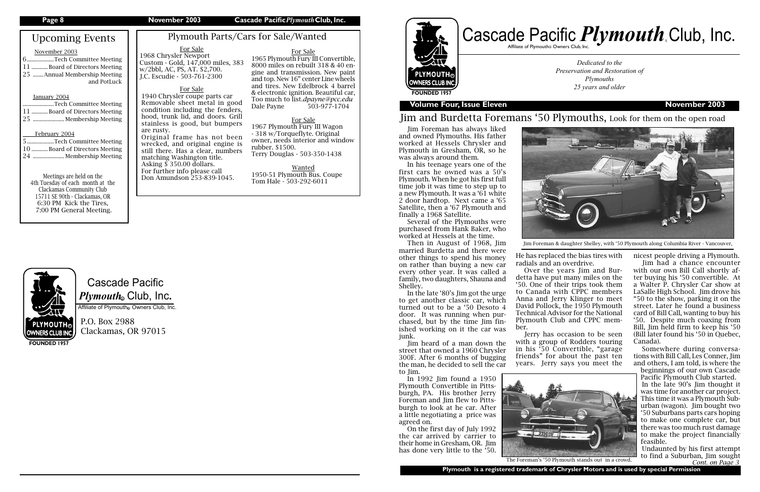# Cascade Pacific  $\boldsymbol{P} \boldsymbol{l}$ y*mouth*. Club, Inc.

Affiliate of Plymouth Owners Club, Inc.

P.O. Box 2988 Clackamas, OR 97015

# Upcoming Events

### November 2003

| 6Tech Committee Meeting       |             |
|-------------------------------|-------------|
| 11 Board of Directors Meeting |             |
| 25 Annual Membership Meeting  |             |
|                               | and PotLuck |

### January 2004

| Tech Committee Meeting        |
|-------------------------------|
| 11 Board of Directors Meeting |
| 25  Membership Meeting        |

## February 2004



| 5 Tech Committee Meeting      |
|-------------------------------|
| 10 Board of Directors Meeting |
| 24  Membership Meeting        |

Affiliate of Plymouth@ Owners Club, Inc. R

Meetings are held on the 4th Tuesday of each month at the Clackamas Community Club 15711 SE 90th - Clackamas, OR 6:30 PM Kick the Tires, 7:00 PM General Meeting.

**FOUNDED 1957**

**PLYMOUTH® OWNERS CLUB INC.** 

## **Page 8 November 2003 Cascade Pacific***Plymouth***Club, Inc.**

## **Volume Four, Issue Eleven November 2003**

*Dedicated to the Preservation and Restoration of Plymouths 25 years and older*



# Jim and Burdetta Foremans '50 Plymouths, Look for them on the open road

Plymouth Parts/Cars for Sale/Wanted

For Sale 1965 Plymouth Fury III Convertible, 8000 miles on rebuilt 318 & 40 engine and transmission. New paint and top. New 16" center Line wheels and tires. New Edelbrock 4 barrel & electronic ignition. Beautiful car, Too much to list.*dpayne@pcc.edu* Dale Payne 503-977-1704

For Sale 1967 Plymouth Fury III Wagon - 318 w/Torqueflyte. Original owner, needs interior and window rubber. \$1500. Terry Douglas - 503-350-1438

Wanted 1950-51 Plymouth Bus. Coupe Tom Hale - 503-292-6011

## For Sale 1968 Chrysler Newport Custom - Gold, 147,000 miles, 383

# w/2bbl, AC, PS, AT. \$2,700. J.C. Escudie - 503-761-2300

Jim Foreman has always liked and owned Plymouths. His father worked at Hessels Chrysler and Plymouth in Gresham, OR, so he was always around them.

In his teenage years one of the first cars he owned was a 50's Plymouth. When he got his first full time job it was time to step up to a new Plymouth. It was a '61 white 2 door hardtop. Next came a '65 Satellite, then a '67 Plymouth and finally a 1968 Satellite.

Several of the Plymouths were purchased from Hank Baker, who worked at Hessels at the time.

Then in August of 1968, Jim married Burdetta and there were other things to spend his money on rather than buying a new car every other year. It was called a family, two daughters, Shauna and Shelley.

In the late '80's Jim got the urge to get another classic car, which turned out to be a '50 Desoto 4 door. It was running when purchased, but by the time Jim finished working on it the car was junk.

Jim heard of a man down the street that owned a 1960 Chrysler 300F. After 6 months of bugging the man, he decided to sell the car to Jim.

In 1992 Jim found a 1950 Plymouth Convertible in Pittsburgh, PA. His brother Jerry Foreman and Jim flew to Pittsburgh to look at he car. After a little negotiating a price was agreed on.

On the first day of July 1992 the car arrived by carrier to their home in Gresham, OR. Jim has done very little to the '50.



For Sale 1940 Chrysler coupe parts car Removable sheet metal in good condition including the fenders, hood, trunk lid, and doors. Grill stainless is good, but bumpers are rusty. Original frame has not been wrecked, and original engine is

still there. Has a clear, numbers matching Washington title. Asking  $\frac{5}{3}$  350.00 dollars. For further info please call Don Amundson 253-839-1045.

He has replaced the bias tires with

radials and an overdrive. Over the years Jim and Burdetta have put many miles on the '50. One of their trips took them to Canada with CPPC members Anna and Jerry Klinger to meet David Pollock, the 1950 Plymouth Technical Advisor for the National Plymouth Club and CPPC member.

Jerry has occasion to be seen with a group of Rodders touring in his '50 Convertible, "garage friends" for about the past ten years. Jerry says you meet the

nicest people driving a Plymouth. Jim had a chance encounter with our own Bill Call shortly after buying his '50 convertible. At a Walter P. Chrysler Car show at LaSalle High School. Jim drove his "50 to the show, parking it on the street. Later he found a business card of Bill Call, wanting to buy his '50. Despite much coaxing from Bill, Jim held firm to keep his '50 (Bill later found his '50 in Quebec, Canada).

Somewhere during conversations with Bill Call, Les Conner, Jim and others, I am told, is where the

beginnings of our own Cascade Pacific Plymouth Club started.

In the late 90's Jim thought it was time for another car project. This time it was a Plymouth Suburban (wagon). Jim bought two '50 Suburbans parts cars hoping to make one complete car, but there was too much rust damage to make the project financially feasible.





Undaunted by his first attempt *Cont. on Page 3*

Jim Foreman & daughter Shelley, with '50 Plymouth along Columbia River - Vancouver,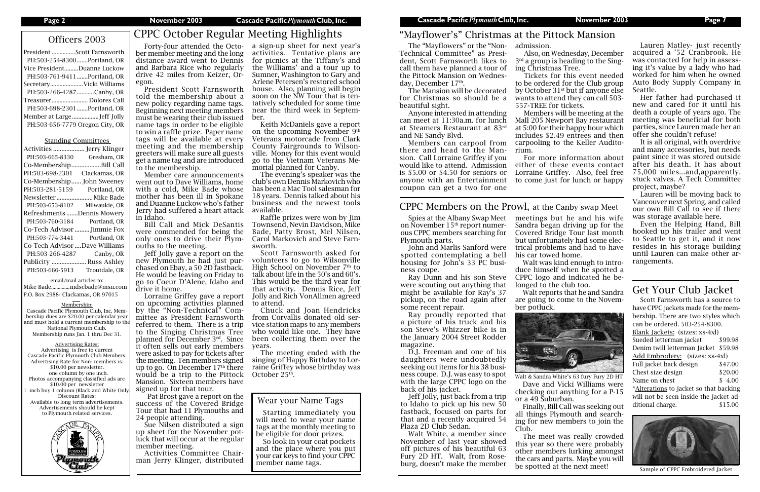| President Scott Farnsworth      |  |
|---------------------------------|--|
| PH:503-254-8300Portland, OR     |  |
| Vice PresidentDuanne Luckow     |  |
| PH:503-761-9411Portland, OR     |  |
| Secretary Vicki Williams        |  |
| PH:503-266-4287Canby, OR        |  |
| Treasurer Dolores Call          |  |
| PH:503-698-2301 Portland, OR    |  |
| Member at LargeJeff Jolly       |  |
| PH:503-656-7779 Oregon City, OR |  |

### Standing Committees

| Activities      | Jerry Klinger                 |
|-----------------|-------------------------------|
| PH:503-665-8330 | Gresham, OR                   |
| Co-Membership.  | Bill Call                     |
| PH:503-698-2301 | Clackamas, OR                 |
| Co-Membership   | John Sweeney                  |
| PH:503-281-5159 | Portland, OR                  |
| Newsletter      | Mike Bade                     |
| PH:503-653-8102 | Milwaukie, OR                 |
|                 | Refreshments Dennis Mowery    |
| PH:503-760-3184 | Portland, OR                  |
|                 | Co-Tech Advisor  Jimmie Fox   |
| PH:503-774-3441 | Portland, OR                  |
|                 | Co-Tech Advisor Dave Williams |
| PH:503-266-4287 | Canby, OR                     |
|                 |                               |
| Publicity       | Russ Ashley                   |
| PH:503-666-5913 | Troutdale, OR                 |

Officers 2003 CPPC October Regular Meeting Highlights Forty-four attended the Octo-

email/mail articles to: Mike Bade..............mdscbade@msn.com P.O. Box 2988- Clackamas, OR 97015

### Membership:

Cascade Pacific Plymouth Club, Inc. Membership dues are \$20.00 per calendar year and must hold a current membership to th National Plymouth Club. Membership runs Jan. 1 thru Dec 31.

### Advertising Rates:

Advertising is free to current Cascade Pacific Plymouth Club Members. Advertising Rate for Non- members is: \$10.00 per newsletter. one column by one inch. Photos accompanying classified ads are \$10.00 per newsletter inch buy 1 column (Black and White Only Discount Rates: Available to long term advertisements. Advertisements should be kept to Plymouth related services.



## **Page 2 November 2003 Cascade Pacific***Plymouth***Club, Inc. Cascade Pacific***Plymouth***Club, Inc. November 2003 Page 7**

The "Mayflowers" or the "Non-Technical Committee" as President, Scott Farnsworth likes to call them have planned a tour of the Pittock Mansion on Wednesday, December 17<sup>th</sup>.

ber member meeting and the long distance award went to Dennis and Barbara Rice who regularly drive 42 miles from Keizer, Oregon.

President Scott Farnsworth told the membership about a new policy regarding name tags. Beginning next meeting members must be wearing their club issued name tags in order to be eligible to win a raffle prize. Paper name tags will be available at every meeting and the membership greeters will make sure all guests get a name tag and are introduced to the membership.

Member care announcements went out to Dave Williams, home with a cold, Mike Bade whose mother has been ill in Spokane and Duanne Luckow who's father Jerry had suffered a heart attack in Idaho.

Bill Call and Mick DeSantis were commended for being the only ones to drive their Plymouths to the meeting.

Jeff Jolly gave a report on the new Plymouth he had just purchased on Ebay, a 50 2D fastback. He would be leaving on Friday to go to Coeur D'Alene, Idaho and drive it home.

> The meeting ended with the singing of Happy Birthday to Lorraine Griffey whose birthday was October 25<sup>th</sup>.

Scott Farnsworth has a source to have CPPC jackets made for the membership. There are two styles which can be ordered. 503-254-8300. Blank Jackets: (sizes: xs-4xl) Sueded letterman jacket \$99.98 Denim twill letterman Jacket \$59.98 Add Embrodery: (sizes: xs-4xl) Full jacket back design \$47.00 Chest size design \$20.00 Name on chest  $$ 4.00$ \*Alterations to jacket so that backing will not be seen inside the jacket additional charge.  $$15.00$ 

Lorraine Griffey gave a report on upcoming activities planned by the "Non-Technical" Committee as President Farnsworth referred to them. There is a trip to the Singing Christmas Tree planned for December 3rd. Since it often sells out early members were asked to pay for tickets after the meeting. Ten members signed up to go. On December  $17<sup>th</sup>$  there would be a trip to the Pittock Mansion. Sixteen members have signed up for that tour.

 Pat Brost gave a report on the success of the Covered Bridge Tour that had 11 Plymouths and 24 people attending.

Sue Nilsen distributed a sign up sheet for the November potluck that will occur at the regular member meeting.

Activities Committee Chairman Jerry Klinger, distributed

## Wear your Name Tags

Starting immediately you will need to wear your name tags at the monthly meeting to be eligible for door prizes.

So look in your coat pockets and the place where you put your car keys to find your CPPC member name tags.

The Mansion will be decorated for Christmas so should be a beautiful sight.

Anyone interested in attending can meet at 11:30a.m. for lunch at Steamers Restaurant at 83rd and NE Sandy Blvd.

Members can carpool from there and head to the Mansion. Call Lorraine Griffey if you would like to attend. Admission is \$5.00 or \$4.50 for seniors or anyone with an Entertainment coupon can get a two for one

a sign-up sheet for next year's activities. Tentative plans are for picnics at the Tiffany's and the Williams' and a tour up to Sumner, Washington to Gary and Arlene Petersen's restored school house. Also, planning will begin soon on the NW Tour that is tentatively scheduled for some time near the third week in September.

Keith McDaniels gave a report on the upcoming November 9th Veterans motorcade from Clark County Fairgrounds to Wilsonville. Money for this event would go to the Vietnam Veterans Memorial planned for Canby.

The evening's speaker was the club's own Dennis Markovich who has been a Mac Tool salesman for 18 years. Dennis talked about his business and the newest tools available.

Raffle prizes were won by Jim Townsend, Nevin Davidson, Mike Bade, Patty Brost, Mel Nilsen, Carol Markovich and Steve Farnsworth.

Scott Farnsworth asked for volunteers to go to Wilsonville High School on November  $7<sup>th</sup>$  to talk about life in the 50's and 60's. This would be the third year for that activity. Dennis Rice, Jeff Jolly and Rich VonAllmen agreed to attend.

Chuck and Joan Hendricks from Corvallis donated old service station maps to any members who would like one. They have been collecting them over the years.



Sample of CPPC Embroidered Jacket

# Get Your Club Jacket

# "Mayflower's" Christmas at the Pittock Mansion

Lauren Matley- just recently acquired a '52 Cranbrook. He was contacted for help in assessing it's value by a lady who had worked for him when he owned Auto Body Supply Company in Seattle.

Her father had purchased it new and cared for it until his death a couple of years ago. The meeting was beneficial for both parties, since Lauren made her an offer she couldn't refuse!

It is all original, with overdrive and many accessories, but needs paint since it was stored outside after his death. It has about 75,000 miles...and,apparently, stuck valves. A Tech Committee project, maybe?

Lauren will be moving back to Vancouver next Spring, and called our own Bill Call to see if there was storage available here.

Even the Helping Hand, Bill hooked up his trailer and went to Seattle to get it, and it now resides in his storage building until Lauren can make other arrangements.

Spies at the Albany Swap Meet on November  $15<sup>th</sup>$  report numerous CPPC members searching for Plymouth parts.

John and Marlis Sanford were spotted contemplating a bell housing for John's 33 PC business coupe.

Ray Dunn and his son Steve were scouting out anything that might be available for Ray's 37 pickup, on the road again after some recent repair.

Ray proudly reported that a picture of his truck and his son Steve's Whizzer bike is in the January 2004 Street Rodder magazine.

D.J. Freeman and one of his daughters were undoubtedly seeking out items for his 38 business coupe. D.J. was easy to spot with the large CPPC logo on the back of his jacket.

Jeff Jolly, just back from a trip to Idaho to pick up his new 50 fastback, focused on parts for that and a recently acquired 54 Plaza 2D Club Sedan.

Walt White, a member since November of last year showed off pictures of his beautiful 63 Fury 2D HT. Walt, from Roseburg, doesn't make the member admission.

Also, on Wednesday, December 3<sup>rd</sup> a group is heading to the Singing Christmas Tree.

Tickets for this event needed to be ordered for the Club group by October 31<sup>st</sup> but if anyone else wants to attend they can call 503- 557-TREE for tickets.

Members will be meeting at the Mall 205 Newport Bay restaurant at 5:00 for their happy hour which includes \$2.49 entrees and then carpooling to the Keller Audito-

rium.

For more information about either of these events contact Lorraine Griffey. Also, feel free to come just for lunch or happy

meetings but he and his wife Sandra began driving up for the Covered Bridge Tour last month but unfortunately had some electrical problems and had to have his car towed home.

Walt was kind enough to introduce himself when he spotted a CPPC logo and indicated he belonged to the club too.

Walt reports that he and Sandra are going to come to the November potluck.



Finally, Bill Call was seeking out all things Plymouth and searching for new members to join the

Club.

Dave and Vicki Williams were checking out anything for a P-15 or a 49 Suburban. Walt & Sandra White's 63 fury Fury 2D HT

The meet was really crowded this year so there were probably other members lurking amongst the cars and parts. Maybe you will be spotted at the next meet!

# CPPC Members on the Prowl, at the Canby swap Meet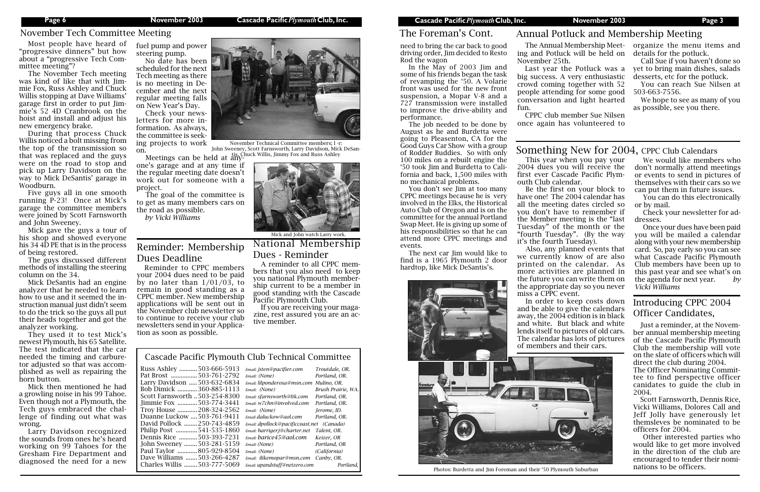# Introducing CPPC 2004 Officer Candidates,

Just a reminder, at the November annual membership meeting of the Cascade Pacific Plymouth Club the membership will vote on the slate of officers which will direct the club during 2004.

The Officer Nominating Committee to find perspective officer canidates to guide the club in 2004.

Scott Farnsworth, Dennis Rice, Vicki Williams, Dolores Call and Jeff Jolly have generously let themsleves be nominated to be officers for 2004.

 Other interested parties who would like to get more involved in the direction of the club are encouraged to tender their nominations to be officers.

ing and Potluck will be held on November 25th.

Last year the Potluck was a big success. A very enthusiastic crowd coming together with 52 people attending for some good conversation and light hearted

The Annual Membership Meet-organize the menu items and details for the potluck.

fun.

CPPC club member Sue Nilsen once again has volunteered to

# Annual Potluck and Membership Meeting

Call Sue if you haven't done so yet to bring main dishes, salads desserts, etc for the potluck.

You can reach Sue Nilsen at 503-663-7556.

We hope to see as many of you as possible, see you there.

# Something New for 2004, CPPC Club Calendars

Most people have heard of "progressive dinners" but how about a "progressive Tech Committee meeting"?



November Technical Committee members; l -r: John Sweeney, Scott Farnsworth, Larry Davidson, Mick DeSan-Meetings can be held at any-<br>Meetings can be held at any-

The November Tech meeting was kind of like that with Jimmie Fox, Russ Ashley and Chuck Willis stopping at Dave Williams' garage first in order to put Jimmie's 52 4D Cranbrook on the hoist and install and adjust his new emergency brake.

During that process Chuck Willis noticed a bolt missing from the top of the transmission so that was replaced and the guys were on the road to stop and pick up Larry Davidson on the way to Mick DeSantis' garage in Woodburn.

Five guys all in one smooth running P-23! Once at Mick's garage the committee members were joined by Scott Farnsworth and John Sweeney.

Mick gave the guys a tour of his shop and showed everyone his 34 4D PE that is in the process of being restored.

The guys discussed different methods of installing the steering column on the 34.

Mick DeSantis had an engine analyzer that he needed to learn how to use and it seemed the instruction manual just didn't seem to do the trick so the guys all put their heads together and got the analyzer working.

They used it to test Mick's newest Plymouth, his 65 Satellite. The test indicated that the car needed the timing and carburetor adjusted so that was accomplished as well as repairing the horn button.

Mick then mentioned he had a growling noise in his 99 Tahoe. Even though not a Plymouth, the Tech guys embraced the challenge of finding out what was wrong.

Larry Davidson recognized the sounds from ones he's heard working on 99 Tahoes for the Gresham Fire Department and diagnosed the need for a new

## November Tech Committee Meeting

This year when you pay your 2004 dues you will receive the first ever Cascade Pacific Plymouth Club calendar.

Be the first on your block to have one! The 2004 calendar has all the meeting dates circled so you don't have to remember if the Member meeting is the "last Tuesday" of the month or the "fourth Tuesday". (By the way it's the fourth Tuesday).

Also, any planned events that we currently know of are also printed on the calendar. As more activities are planned in the future you can write them on the appropriate day so you never miss a CPPC event. In order to keep costs down

and be able to give the calendars away, the 2004 edition is in black and white. But black and white lends itself to pictures of old cars. The calendar has lots of pictures of members and their cars.



We would like members who don't normally attend meetings or events to send in pictures of themselves with their cars so we can put them in future issues.

You can do this electronically or by mail.

Check your newsletter for addresses.

Once your dues have been paid you will be mailed a calendar along with your new membership card. So, pay early so you can see what Cascade Pacific Plymouth Club members have been up to this past year and see what's on the agenda for next year. *by Vicki Williams*

fuel pump and power steering pump.

No date has been scheduled for the next Tech meeting as there is no meeting in December and the next regular meeting falls on New Year's Day.

Check your newsletters for more information. As always, the committee is seeking projects to work

one's garage and at any time if the regular meeting date doesn't work out for someone with a project.

The goal of the committee is to get as many members cars on the road as possible. *by Vicki Williams*

need to bring the car back to good driving order, Jim decided to Resto Rod the wagon

In the May of 2003 Jim and some of his friends began the task of revamping the '50. A Volarie front was used for the new front suspension, a Mopar V-8 and a 727 transmission were installed to improve the drive-ability and performance.

The job needed to be done by August as he and Burdetta were going to Pleasenton, CA for the Good Guys Car Show with a group of Rodder Buddies. So with only 100 miles on a rebuilt engine the '50 took Jim and Burdetta to California and back, 1,500 miles with no mechanical problems.

You don't see Jim at too many CPPC meetings because he is very involved in the Elks, the Historical Auto Club of Oregon and is on the committee for the annual Portland Swap Meet. He is giving up some of his responsibilities so that he can attend more CPPC meetings and events.

The next car Jim would like to find is a 1965 Plymouth 2 door hardtop, like Mick DeSantis's.



## The Foreman's Cont.

Photos: Burdetta and Jim Foreman and their '50 Plymouth Suburban

## Cascade Pacific Plymouth Club Technical Committee Russ Ashley ...........503-666-5913 *Email: jsten@pacifier.com Troutdale, OR.* Pat Brost .................503-761-2792 *Email: (None)* Larry Davidson .....503-632-6834 *Email: lilponderosa@msn.com Mulino, OR.* Bob Dimick ............360-885-1113 *Email: (None) Brush Prairie, WA.* Scott Farnsworth ..503-254-8300 *Email: sfarnsworth@ltk.com Portland, OR.* Jimmie Fox ............503-774-3441 *Email: w7chn@involved.com Portland, OR.* Troy House ............208-324-2562 *Email: (None) Jerome, ID.* Duanne Luckow ....503-761-9411 *Email daluckow@aol.com Portland, OR.* David Pollock ........250-743-4859 *Email: dpollock@pacificcoast.net (Canada)* Philip Post .............541-535-1860 *Email: harrigerj@charter.net Talent, OR.* Dennis Rice ...........503-393-7231 *Email: barice45@aol.com Keizer, OR* John Sweeney ........503-281-5159 *Email: (None) Portland, OR* Paul Taylor ............805-929-8504 *Email: (None) (California)* Dave Williams .......503-266-4287 *Email: ilikemopar@msn.com Canby, OR.* Charles Willis ........503-777-5069 *Email: upandstuff@netzero.com Portland,*



National Membership Dues - Reminder

Reminder: Membership Dues Deadline

Reminder to CPPC members your 2004 dues need to be paid by no later than  $1/01/03$ , to remain in good standing as a CPPC member. New membership applications will be sent out in the November club newsletter so to continue to receive your club newsletters send in your Application as soon as possible.

A reminder to all CPPC members that you also need to keep you national Plymouth membership current to be a member in good standing with the Cascade Pacific Plymouth Club.

If you are receiving your magazine, rest assured you are an active member.